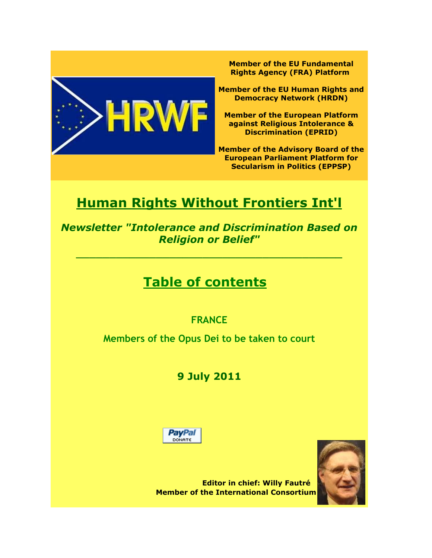

**Member of the EU Fundamental Rights Agency (FRA) Platform**

**Member of the EU Human Rights and Democracy Network (HRDN)**

**Member of the European Platform against Religious Intolerance & Discrimination (EPRID)**

**Member of the Advisory Board of the European Parliament Platform for Secularism in Politics (EPPSP)**

# **Human Rights Without Frontiers Int'l**

*Newsletter "Intolerance and Discrimination Based on Religion or Belief"*

 $\overline{\phantom{a}}$  , and the contribution of the contribution of  $\overline{\phantom{a}}$  , and  $\overline{\phantom{a}}$  , and  $\overline{\phantom{a}}$  , and  $\overline{\phantom{a}}$  , and  $\overline{\phantom{a}}$ 

## **Table of contents**

## **FRANCE**

**Members of the Opus Dei to be taken to court**

## **9 July 2011**





**Editor in chief: Willy Fautré Member of the International Consortium**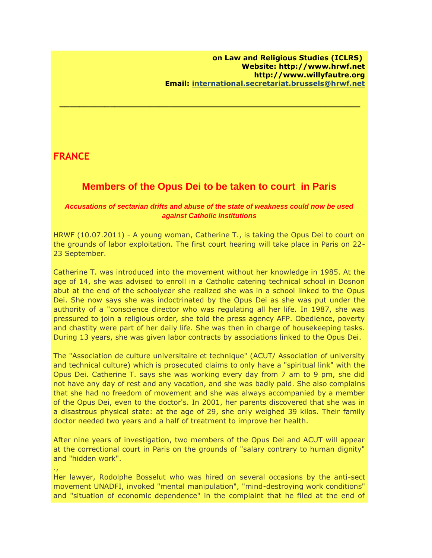### **FRANCE**

### **Members of the Opus Dei to be taken to court in Paris**

 **\_\_\_\_\_\_\_\_\_\_\_\_\_\_\_\_\_\_\_\_\_\_\_\_\_\_\_\_\_\_\_\_\_\_\_\_\_\_\_\_\_\_\_\_\_\_\_\_\_\_\_\_\_\_\_\_\_\_\_\_**

#### *Accusations of sectarian drifts and abuse of the state of weakness could now be used against Catholic institutions*

HRWF (10.07.2011) - A young woman, Catherine T., is taking the Opus Dei to court on the grounds of labor exploitation. The first court hearing will take place in Paris on 22- 23 September.

Catherine T. was introduced into the movement without her knowledge in 1985. At the age of 14, she was advised to enroll in a Catholic catering technical school in Dosnon abut at the end of the schoolyear she realized she was in a school linked to the Opus Dei. She now says she was indoctrinated by the Opus Dei as she was put under the authority of a "conscience director who was regulating all her life. In 1987, she was pressured to join a religious order, she told the press agency AFP. Obedience, poverty and chastity were part of her daily life. She was then in charge of housekeeping tasks. During 13 years, she was given labor contracts by associations linked to the Opus Dei.

The "Association de culture universitaire et technique" (ACUT/ Association of university and technical culture) which is prosecuted claims to only have a "spiritual link" with the Opus Dei. Catherine T. says she was working every day from 7 am to 9 pm, she did not have any day of rest and any vacation, and she was badly paid. She also complains that she had no freedom of movement and she was always accompanied by a member of the Opus Dei, even to the doctor's. In 2001, her parents discovered that she was in a disastrous physical state: at the age of 29, she only weighed 39 kilos. Their family doctor needed two years and a half of treatment to improve her health.

After nine years of investigation, two members of the Opus Dei and ACUT will appear at the correctional court in Paris on the grounds of "salary contrary to human dignity" and "hidden work".

.,

Her lawyer, Rodolphe Bosselut who was hired on several occasions by the anti-sect movement UNADFI, invoked "mental manipulation", "mind-destroying work conditions" and "situation of economic dependence" in the complaint that he filed at the end of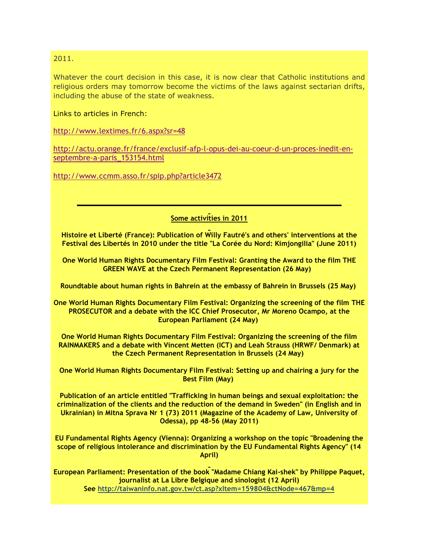#### 2011.

Whatever the court decision in this case, it is now clear that Catholic institutions and religious orders may tomorrow become the victims of the laws against sectarian drifts, including the abuse of the state of weakness.

Links to articles in French:

[http://www.lextimes.fr/6.aspx?sr=48](http://r20.rs6.net/tn.jsp?llr=llvfpscab&et=1106469326850&s=9720&e=0015EjcHmjNYnfh2gLLOcTEUYnHdoGolKB8Rh58xuyCiWb4OTHqUP_ao9JruxweRxzZXtnB5lrp0IKa0CPfHPwa9cp5gJPiEv6NGh8p6xMJhD5Yd-Pf6Ms3oGe-MtYSB7Lmsqcc3c0jniI=)

[http://actu.orange.fr/france/exclusif-afp-l-opus-dei-au-coeur-d-un-proces-inedit-en](http://r20.rs6.net/tn.jsp?llr=llvfpscab&et=1106469326850&s=9720&e=0015EjcHmjNYndPVvRHLgNSOFrcRxLeuRxf4JX5f6ipm8MWbsMc3Ubg-DMQHPWzezas5IQ-5i7K6MA4QVi6yUUDRvjJ86K2N8yu09wxrlsaQCZprZkbPtBCbK_lzeH_rN9oOMpz6oIv9H1yzc4qXasg245Jq0BQEtWaZXMTGcqt36Vpb3_Cvgoz3yhdtdGsBaWwA4Dfb_CK0XpxeU1CHfyY96wuXZ2DSZc8kS03B3z3XiM=)[septembre-a-paris\\_153154.html](http://r20.rs6.net/tn.jsp?llr=llvfpscab&et=1106469326850&s=9720&e=0015EjcHmjNYndPVvRHLgNSOFrcRxLeuRxf4JX5f6ipm8MWbsMc3Ubg-DMQHPWzezas5IQ-5i7K6MA4QVi6yUUDRvjJ86K2N8yu09wxrlsaQCZprZkbPtBCbK_lzeH_rN9oOMpz6oIv9H1yzc4qXasg245Jq0BQEtWaZXMTGcqt36Vpb3_Cvgoz3yhdtdGsBaWwA4Dfb_CK0XpxeU1CHfyY96wuXZ2DSZc8kS03B3z3XiM=)

[http://www.ccmm.asso.fr/spip.php?article3472](http://r20.rs6.net/tn.jsp?llr=llvfpscab&et=1106469326850&s=9720&e=0015EjcHmjNYnd5MCE6avsBBCEks-sUzeOOVV5luvYjhpTVy7UxSIGmaz6bNnfvwiIvvhjD6hxob0_unYyPkteI7RzeNi0eknFcSGTeP6IdNAfw2TO7vxvnjw-YqOK75vnBjRjybTCCwvqwYiFsiM8kMg==)

#### **Some activities in 2011**

**\_\_\_\_\_\_\_\_\_\_\_\_\_\_\_\_\_\_\_\_\_\_\_\_\_\_\_\_\_\_\_\_\_\_\_\_\_\_\_\_\_\_\_\_\_\_\_\_\_\_\_\_\_\_\_\_\_\_\_\_\_\_\_\_**

**Histoire et Liberté (France): Publication of Willy Fautré's and others' interventions at the Festival des Libertés in 2010 under the title "La Corée du Nord: Kimjongilia" (June 2011)**

**One World Human Rights Documentary Film Festival: Granting the Award to the film THE GREEN WAVE at the Czech Permanent Representation (26 May)** 

**Roundtable about human rights in Bahrein at the embassy of Bahrein in Brussels (25 May)**

**One World Human Rights Documentary Film Festival: Organizing the screening of the film THE PROSECUTOR and a debate with the ICC Chief Prosecutor, Mr Moreno Ocampo, at the European Parliament (24 May)**

**One World Human Rights Documentary Film Festival: Organizing the screening of the film RAINMAKERS and a debate with Vincent Metten (ICT) and Leah Strauss (HRWF/ Denmark) at the Czech Permanent Representation in Brussels (24 May)**

**One World Human Rights Documentary Film Festival: Setting up and chairing a jury for the Best Film (May)**

**Publication of an article entitled "Trafficking in human beings and sexual exploitation: the criminalization of the clients and the reduction of the demand in Sweden" (in English and in Ukrainian) in Mitna Sprava Nr 1 (73) 2011 (Magazine of the Academy of Law, University of Odessa), pp 48-56 (May 2011)**

**EU Fundamental Rights Agency (Vienna): Organizing a workshop on the topic "Broadening the scope of religious intolerance and discrimination by the EU Fundamental Rights Agency" (14 April)**

**European Parliament: Presentation of the book "Madame Chiang Kai-shek" by Philippe Paquet, journalist at La Libre Belgique and sinologist (12 April) See [http://taiwaninfo.nat.gov.tw/ct.asp?xItem=159804&ctNode=467&mp=4](http://r20.rs6.net/tn.jsp?llr=llvfpscab&et=1105738615481&s=2204&e=001H-v69Owb6L6SdgAT7rcfhMFbL5RsYsXGPwPNzcNhP9gKNO2pbCA37-DgDGKiTglypfkZNjRjvhtD4EUE97O9Az2WTFmt6Dj3kJQyk_GaTMUlcY20QvEiDI8XUWHrwiljei8PnvFr8Wzpoue9q5NucAiJKd65SoiBmFao7RYEpptNngXUzeq4JA==)**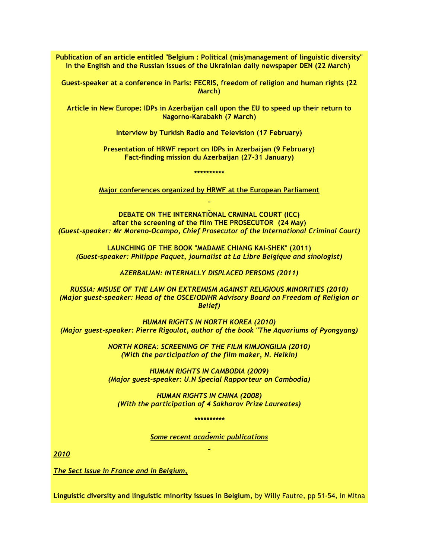**Publication of an article entitled "Belgium : Political (mis)management of linguistic diversity" in the English and the Russian issues of the Ukrainian daily newspaper DEN (22 March)**

**Guest-speaker at a conference in Paris: FECRIS, freedom of religion and human rights (22 March)**

**Article in New Europe: IDPs in Azerbaijan call upon the EU to speed up their return to Nagorno-Karabakh (7 March)**

**Interview by Turkish Radio and Television (17 February)**

**Presentation of HRWF report on IDPs in Azerbaijan (9 February) Fact-finding mission du Azerbaijan (27-31 January)**

**\*\*\*\*\*\*\*\*\*\***

**Major conferences organized by HRWF at the European Parliament**

**DEBATE ON THE INTERNATIONAL CRMINAL COURT (ICC) after the screening of the film THE PROSECUTOR (24 May)** *(Guest-speaker: Mr Moreno-Ocampo, Chief Prosecutor of the International Criminal Court)*

**LAUNCHING OF THE BOOK "MADAME CHIANG KAI-SHEK" (2011)** *(Guest-speaker: Philippe Paquet, journalist at La Libre Belgique and sinologist)*

*AZERBAIJAN: INTERNALLY DISPLACED PERSONS (2011)*

*RUSSIA: MISUSE OF THE LAW ON EXTREMISM AGAINST RELIGIOUS MINORITIES (2010) (Major guest-speaker: Head of the OSCE/ODIHR Advisory Board on Freedom of Religion or Belief)*

*HUMAN RIGHTS IN NORTH KOREA (2010) (Major guest-speaker: Pierre Rigoulot, author of the book "The Aquariums of Pyongyang)*

> *NORTH KOREA: SCREENING OF THE FILM KIMJONGILIA (2010) (With the participation of the film maker, N. Heikin)*

> *HUMAN RIGHTS IN CAMBODIA (2009) (Major guest-speaker: U.N Special Rapporteur on Cambodia)*

*HUMAN RIGHTS IN CHINA (2008) (With the participation of 4 Sakharov Prize Laureates)*

*\*\*\*\*\*\*\*\*\*\**

*Some recent academic publications*

*2010*

*The Sect Issue in France and in Belgium,*

**Linguistic diversity and linguistic minority issues in Belgium**, by Willy Fautre, pp 51-54, in Mitna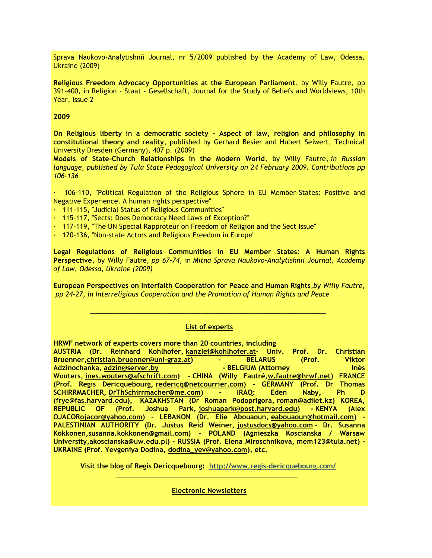Sprava Naukovo-Analytishnii Journal, nr 5/2009 published by the Academy of Law, Odessa, Ukraine (2009)

**Religious Freedom Advocacy Opportunities at the European Parliament**, by Willy Fautre, pp 391-400, in Religion - Staat - Gesellschaft, Journal for the Study of Beliefs and Worldviews, 10th Year, Issue 2

#### **2009**

**On Religious liberty in a democratic society - Aspect of law, religion and philosophy in constitutional theory and reality**, published by Gerhard Besier and Hubert Seiwert, Technical University Dresden (Germany), 407 p. (2009)

**Models of State-Church Relationships in the Modern World**, by Willy Fautre, *in Russian language, published by Tula State Pedagogical University on 24 February 2009. Contributions pp 106-136*

· 106-110, "Political Regulation of the Religious Sphere in EU Member-States: Positive and Negative Experience. A human rights perspective"

- · 111-115, "Judicial Status of Religious Communities"
- · 115-117, "Sects: Does Democracy Need Laws of Exception?"
- · 117-119, "The UN Special Rapproteur on Freedom of Religion and the Sect Issue"
- · 120-136, "Non-state Actors and Religious Freedom in Europe"

**Legal Regulations of Religious Communities in EU Member States: A Human Rights Perspective**, by Willy Fautre, *pp 67-74*, in *Mitna Sprava Naukovo-Analytishnii Journal, Academy of Law, Odessa, Ukraine (2009)*

**European Perspectives on Interfaith Cooperation for Peace and Human Rights***,by Willy Fautre, pp 24-27,* in *Interreligious Cooperation and the Promotion of Human Rights and Peace*

#### **List of experts**

\_\_\_\_\_\_\_\_\_\_\_\_\_\_\_\_\_\_\_\_\_\_\_\_\_\_\_\_\_\_\_\_\_\_\_\_\_\_\_\_\_\_\_\_\_\_\_\_\_\_\_\_\_\_\_\_\_\_\_\_\_\_\_\_

**HRWF network of experts covers more than 20 countries, including AUSTRIA (Dr. Reinhard Kohlhofer, [kanzlei@kohlhofer.at-](mailto:kanzlei@kohlhofer.at) Univ. Prof. Dr. Christian Bruenner[,christian.bruenner@uni-graz.at\)](mailto:christian.bruenner@uni-graz.at) - BELARUS (Prof. Viktor Adzinochanka, [adzin@server.by](mailto:adzin@server.by) - BELGIUM (Attorney Inès Wouters, [ines.wouters@afschrift.com\)](mailto:ines.wouters@afschrift.com) - CHINA (Willy Fautré[,w.fautre@hrwf.net\)](mailto:w.fautre@hrwf.net) FRANCE (Prof. Regis Dericquebourg, [redericq@netcourrier.com\)](mailto:redericq@netcourrier.com) - GERMANY (Prof. Dr Thomas SCHIRRMACHER, [DrThSchirrmacher@me.com\)](mailto:DrThSchirrmacher@me.com) - IRAQ: Eden Naby, Ph D [\(frye@fas.harvard.edu\)](mailto:frye@fas.harvard.edu), KAZAKHSTAN (Dr Roman Podoprigora, [roman@adilet.kz\)](mailto:roman@adilet.kz) KOREA, REPUBLIC OF (Prof. Joshua Park, [joshuapark@post.harvard.edu\)](mailto:joshuapark@post.harvard.edu) - KENYA (Alex OJACO[Rojacor@yahoo.com\)](mailto:ojacor@yahoo.com) - LEBANON (Dr. Elie Abouaoun, [eabouaoun@hotmail.com\)](mailto:eabouaoun@hotmail.com) - PALESTINIAN AUTHORITY (Dr. Justus Reid Weiner, [justusdocs@yahoo.com](mailto:justusdocs@yahoo.com) - Dr. Susanna Kokkonen[,susanna.kokkonen@gmail.com\)](mailto:susanna.kokkonen@gmail.com) - POLAND (Agnieszka Koscianska / Warsaw University[,akoscianska@uw.edu.pl\)](mailto:akoscianska@uw.edu.pl) - RUSSIA (Prof. Elena Miroschnikova, [mem123@tula.net\)](mailto:mem123@tula.net) - UKRAINE (Prof. Yevgeniya Dodina, [dodina\\_yev@yahoo.com\)](mailto:dodina_yev@yahoo.com), etc.** 

**Visit the blog of Regis Dericquebourg: [http://www.regis-dericquebourg.com/](http://r20.rs6.net/tn.jsp?llr=llvfpscab&et=1105012487503&s=1267&e=001q4DaQ8eIAKhQ0Zo05kA0IATXXRcJkQ2HyNK2eIdR70hJ0QKY5cMaRrFX88UfnebfoD-FSMzzulfouUJlBqUuqKv8QcN6Mjqd_Q6FaEToaz2A5HqKc8c9B0-88585FxKv)**  $\frac{1}{2}$  , and the set of the set of the set of the set of the set of the set of the set of the set of the set of the set of the set of the set of the set of the set of the set of the set of the set of the set of the set

**Electronic Newsletters**